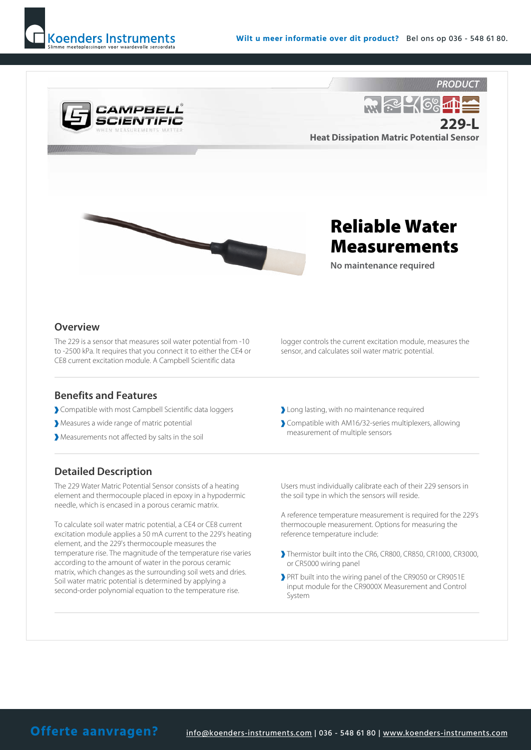



Heat Dissipation Matric Potential Sensor



## Reliable Water Measurements

No maintenance required

## **Overview**

The 229 is a sensor that measures soil water potential from -10 to -2500 kPa. It requires that you connect it to either the CE4 or CE8 current excitation module. A Campbell Scientific data

Benefits and Features

- Compatible with most Campbell Scientific data loggers
- Measures a wide range of matric potential
- Measurements not affected by salts in the soil

## Detailed Description

The 229 Water Matric Potential Sensor consists of a heating element and thermocouple placed in epoxy in a hypodermic needle, which is encased in a porous ceramic matrix.

To calculate soil water matric potential, a CE4 or CE8 current excitation module applies a 50 mA current to the 229's heating element, and the 229's thermocouple measures the temperature rise. The magnitude of the temperature rise varies according to the amount of water in the porous ceramic matrix, which changes as the surrounding soil wets and dries. Soil water matric potential is determined by applying a second-order polynomial equation to the temperature rise.

logger controls the current excitation module, measures the sensor, and calculates soil water matric potential.

- Long lasting, with no maintenance required
- Compatible with AM16/32-series multiplexers, allowing measurement of multiple sensors

Users must individually calibrate each of their 229 sensors in the soil type in which the sensors will reside.

A reference temperature measurement is required for the 229's thermocouple measurement. Options for measuring the reference temperature include:

- Thermistor built into the CR6, CR800, CR850, CR1000, CR3000, or CR5000 wiring panel
- PRT built into the wiring panel of the CR9050 or CR9051E input module for the CR9000X Measurement and Control System